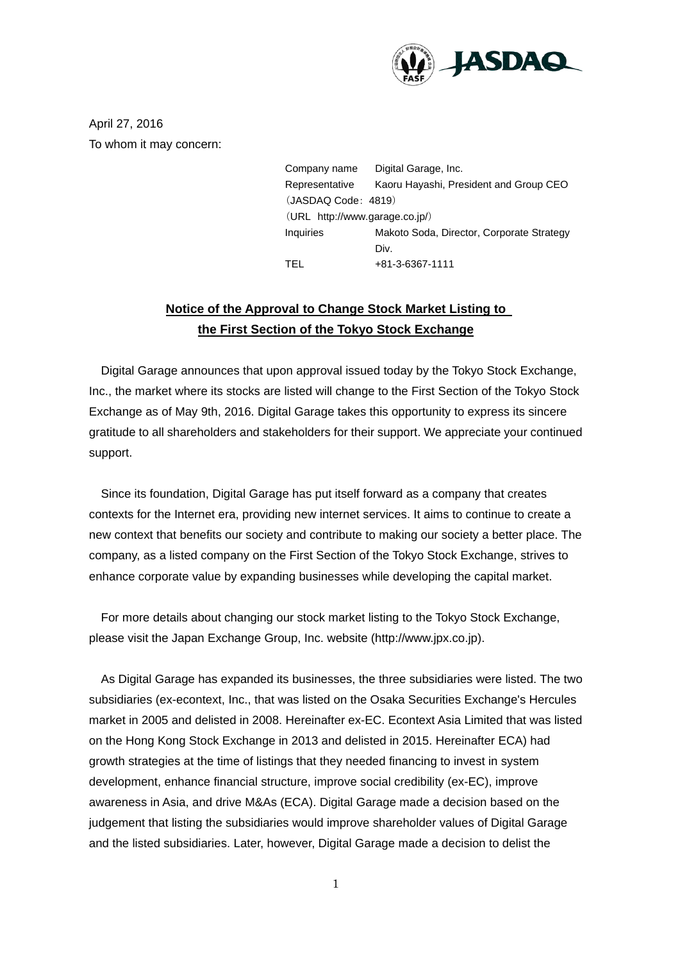

April 27, 2016 To whom it may concern:

> Company name Digital Garage, Inc. Representative Kaoru Hayashi, President and Group CEO (JASDAQ Code: 4819) (URL http://www.garage.co.jp/) Inquiries Makoto Soda, Director, Corporate Strategy Div. TEL +81-3-6367-1111

## **Notice of the Approval to Change Stock Market Listing to the First Section of the Tokyo Stock Exchange**

Digital Garage announces that upon approval issued today by the Tokyo Stock Exchange, Inc., the market where its stocks are listed will change to the First Section of the Tokyo Stock Exchange as of May 9th, 2016. Digital Garage takes this opportunity to express its sincere gratitude to all shareholders and stakeholders for their support. We appreciate your continued support.

Since its foundation, Digital Garage has put itself forward as a company that creates contexts for the Internet era, providing new internet services. It aims to continue to create a new context that benefits our society and contribute to making our society a better place. The company, as a listed company on the First Section of the Tokyo Stock Exchange, strives to enhance corporate value by expanding businesses while developing the capital market.

For more details about changing our stock market listing to the Tokyo Stock Exchange, please visit the Japan Exchange Group, Inc. website (http://www.jpx.co.jp).

As Digital Garage has expanded its businesses, the three subsidiaries were listed. The two subsidiaries (ex-econtext, Inc., that was listed on the Osaka Securities Exchange's Hercules market in 2005 and delisted in 2008. Hereinafter ex-EC. Econtext Asia Limited that was listed on the Hong Kong Stock Exchange in 2013 and delisted in 2015. Hereinafter ECA) had growth strategies at the time of listings that they needed financing to invest in system development, enhance financial structure, improve social credibility (ex-EC), improve awareness in Asia, and drive M&As (ECA). Digital Garage made a decision based on the judgement that listing the subsidiaries would improve shareholder values of Digital Garage and the listed subsidiaries. Later, however, Digital Garage made a decision to delist the